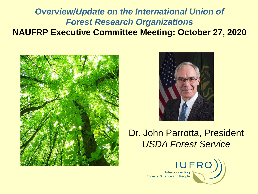#### *Overview/Update on the International Union of Forest Research Organizations* **NAUFRP Executive Committee Meeting: October 27, 2020**





#### Dr. John Parrotta, President *USDA Forest Service*

Interconnecting **Forests, Science and People** 

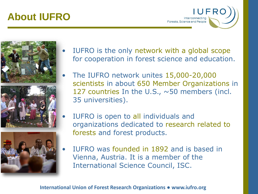## **About IUFRO**







- IUFRO is the only network with a global scope for cooperation in forest science and education.
- The IUFRO network unites 15,000-20,000 scientists in about 650 Member Organizations in 127 countries In the U.S., ~50 members (incl. 35 universities).
- IUFRO is open to all individuals and organizations dedicated to research related to forests and forest products.
- IUFRO was founded in 1892 and is based in Vienna, Austria. It is a member of the International Science Council, ISC.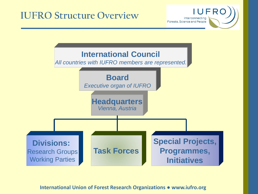### **IUFRO Structure Overview**

**IUFRC** Interconnecting Forests, Science and People

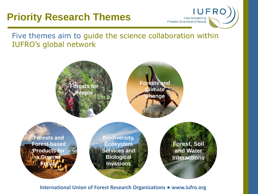## **Priority Research Themes**



Five themes aim to guide the science collaboration within IUFRO's global network

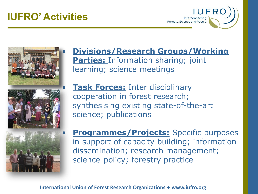## **IUFRO' Activities**





#### • **Divisions/Research Groups/Working Parties: Information sharing; joint** learning; science meetings

**Task Forces: Inter-disciplinary** cooperation in forest research; synthesising existing state-of-the-art science; publications

**Programmes/Projects:** Specific purposes in support of capacity building; information dissemination; research management; science-policy; forestry practice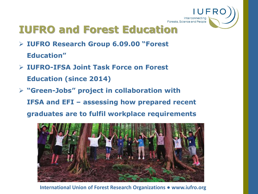

# **IUFRO and Forest Education**

- ➢ **IUFRO Research Group 6.09.00 "Forest Education"**
- ➢ **IUFRO-IFSA Joint Task Force on Forest Education (since 2014)**
- ➢ **"Green-Jobs" project in collaboration with IFSA and EFI – assessing how prepared recent graduates are to fulfil workplace requirements**

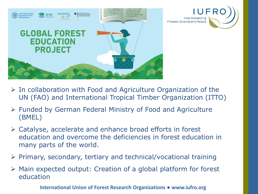



- $\triangleright$  In collaboration with Food and Agriculture Organization of the UN (FAO) and International Tropical Timber Organization (ITTO)
- ➢ Funded by German Federal Ministry of Food and Agriculture (BMEL)
- ➢ Catalyse, accelerate and enhance broad efforts in forest education and overcome the deficiencies in forest education in many parts of the world.
- ➢ Primary, secondary, tertiary and technical/vocational training
- ➢ Main expected output: Creation of a global platform for forest education